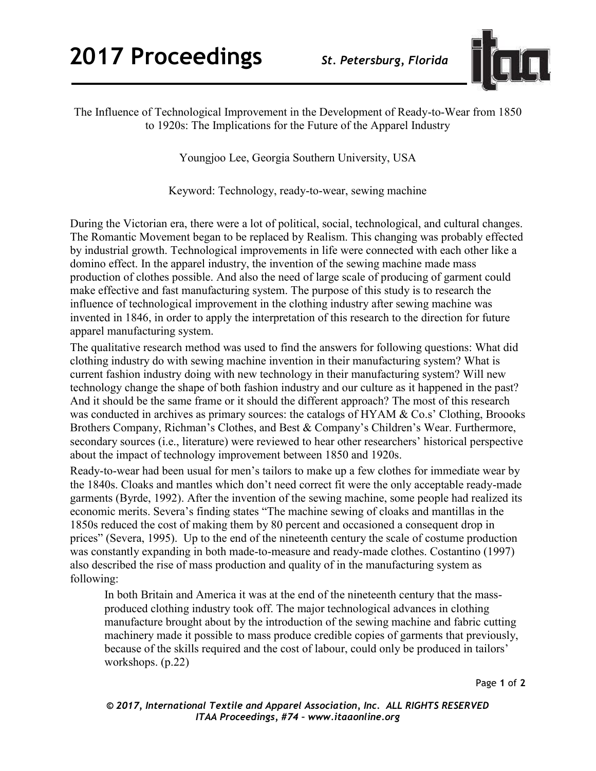

The Influence of Technological Improvement in the Development of Ready-to-Wear from 1850 to 1920s: The Implications for the Future of the Apparel Industry

Youngjoo Lee, Georgia Southern University, USA

Keyword: Technology, ready-to-wear, sewing machine

During the Victorian era, there were a lot of political, social, technological, and cultural changes. The Romantic Movement began to be replaced by Realism. This changing was probably effected by industrial growth. Technological improvements in life were connected with each other like a domino effect. In the apparel industry, the invention of the sewing machine made mass production of clothes possible. And also the need of large scale of producing of garment could make effective and fast manufacturing system. The purpose of this study is to research the influence of technological improvement in the clothing industry after sewing machine was invented in 1846, in order to apply the interpretation of this research to the direction for future apparel manufacturing system.

The qualitative research method was used to find the answers for following questions: What did clothing industry do with sewing machine invention in their manufacturing system? What is current fashion industry doing with new technology in their manufacturing system? Will new technology change the shape of both fashion industry and our culture as it happened in the past? And it should be the same frame or it should the different approach? The most of this research was conducted in archives as primary sources: the catalogs of HYAM & Co.s' Clothing, Broooks Brothers Company, Richman's Clothes, and Best & Company's Children's Wear. Furthermore, secondary sources (i.e., literature) were reviewed to hear other researchers' historical perspective about the impact of technology improvement between 1850 and 1920s.

Ready-to-wear had been usual for men's tailors to make up a few clothes for immediate wear by the 1840s. Cloaks and mantles which don't need correct fit were the only acceptable ready-made garments (Byrde, 1992). After the invention of the sewing machine, some people had realized its economic merits. Severa's finding states "The machine sewing of cloaks and mantillas in the 1850s reduced the cost of making them by 80 percent and occasioned a consequent drop in prices" (Severa, 1995). Up to the end of the nineteenth century the scale of costume production was constantly expanding in both made-to-measure and ready-made clothes. Costantino (1997) also described the rise of mass production and quality of in the manufacturing system as following:

In both Britain and America it was at the end of the nineteenth century that the massproduced clothing industry took off. The major technological advances in clothing manufacture brought about by the introduction of the sewing machine and fabric cutting machinery made it possible to mass produce credible copies of garments that previously, because of the skills required and the cost of labour, could only be produced in tailors' workshops. (p.22)

Page **1** of **2** 

*© 2017, International Textile and Apparel Association, Inc. ALL RIGHTS RESERVED ITAA Proceedings, #74 – www.itaaonline.org*